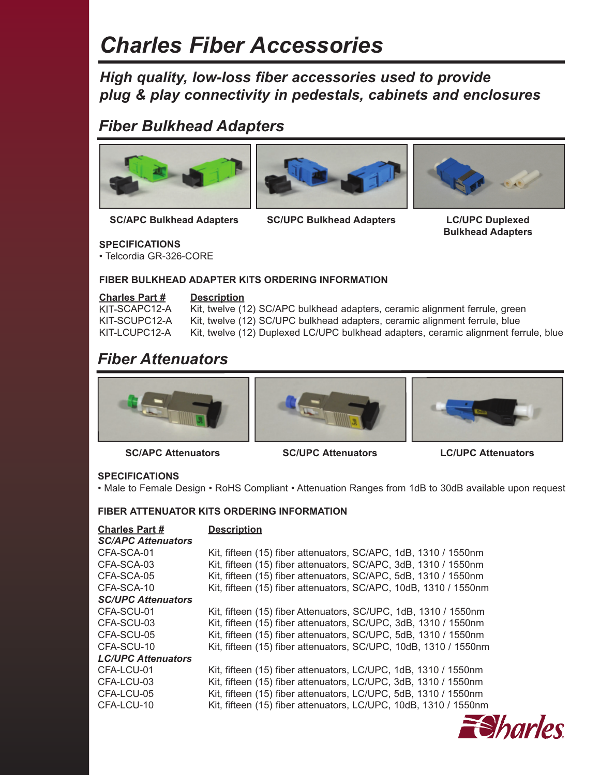# *Charles Fiber Accessories*

*High quality, low-loss fiber accessories used to provide plug & play connectivity in pedestals, cabinets and enclosures*

# *Fiber Bulkhead Adapters*







**SC/UPC Bulkhead Adapters**



**LC/UPC Duplexed Bulkhead Adapters**

#### **SPECIFICATIONS**

• Telcordia GR-326-CORE

## **FIBER BULKHEAD ADAPTER KITS ORDERING INFORMATION**

| <b>Charles Part #</b> |  |
|-----------------------|--|
| KIT-SCAPC12-A         |  |
| KIT-SCUPC12-A         |  |
| KIT-LCUPC12-A         |  |

#### **Description**

Kit, twelve (12) SC/APC bulkhead adapters, ceramic alignment ferrule, green Kit, twelve (12) SC/UPC bulkhead adapters, ceramic alignment ferrule, blue Kit, twelve (12) Duplexed LC/UPC bulkhead adapters, ceramic alignment ferrule, blue

# *Fiber Attenuators*







## **SC/APC Attenuators SC/UPC Attenuators LC/UPC Attenuators**

## **SPECIFICATIONS**

• Male to Female Design • RoHS Compliant • Attenuation Ranges from 1dB to 30dB available upon request

## **FIBER ATTENUATOR KITS ORDERING INFORMATION**

| <b>Charles Part #</b>     | <b>Description</b>                                               |
|---------------------------|------------------------------------------------------------------|
| <b>SC/APC Attenuators</b> |                                                                  |
| CFA-SCA-01                | Kit, fifteen (15) fiber attenuators, SC/APC, 1dB, 1310 / 1550nm  |
| CFA-SCA-03                | Kit, fifteen (15) fiber attenuators, SC/APC, 3dB, 1310 / 1550nm  |
| CFA-SCA-05                | Kit, fifteen (15) fiber attenuators, SC/APC, 5dB, 1310 / 1550nm  |
| CFA-SCA-10                | Kit, fifteen (15) fiber attenuators, SC/APC, 10dB, 1310 / 1550nm |
| <b>SC/UPC Attenuators</b> |                                                                  |
| CFA-SCU-01                | Kit, fifteen (15) fiber Attenuators, SC/UPC, 1dB, 1310 / 1550nm  |
| CFA-SCU-03                | Kit, fifteen (15) fiber attenuators, SC/UPC, 3dB, 1310 / 1550nm  |
| CFA-SCU-05                | Kit, fifteen (15) fiber attenuators, SC/UPC, 5dB, 1310 / 1550nm  |
| CFA-SCU-10                | Kit, fifteen (15) fiber attenuators, SC/UPC, 10dB, 1310 / 1550nm |
| <b>LC/UPC Attenuators</b> |                                                                  |
| CFA-LCU-01                | Kit, fifteen (15) fiber attenuators, LC/UPC, 1dB, 1310 / 1550nm  |
| CFA-LCU-03                | Kit, fifteen (15) fiber attenuators, LC/UPC, 3dB, 1310 / 1550nm  |
| CFA-LCU-05                | Kit, fifteen (15) fiber attenuators, LC/UPC, 5dB, 1310 / 1550nm  |
| CFA-LCU-10                | Kit, fifteen (15) fiber attenuators, LC/UPC, 10dB, 1310 / 1550nm |
|                           |                                                                  |

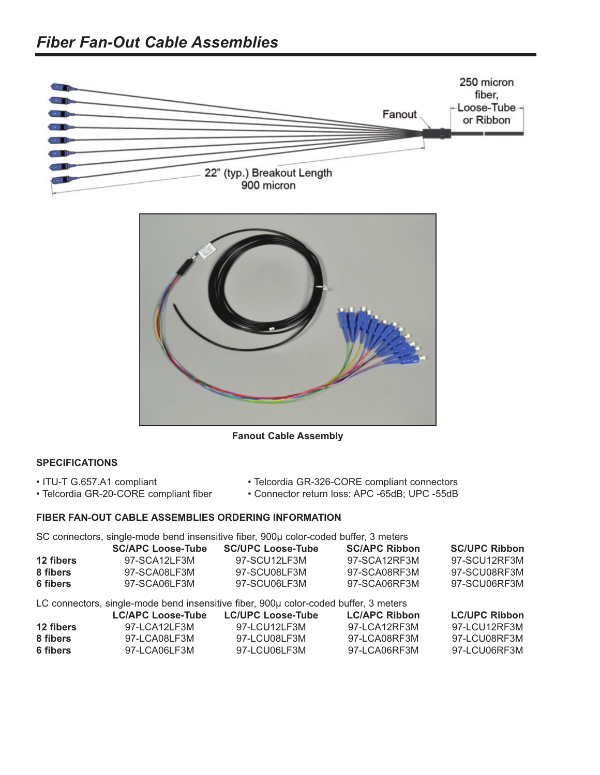



**Fanout Cable Assembly**

## **SPECIFICATIONS**

- ITU-T G.657.A1 compliant Telcordia GR-326-CORE compliant connectors
- 
- 
- Telcordia GR-20-CORE compliant fiber Connector return loss: APC -65dB; UPC -55dB

#### **FIBER FAN-OUT CABLE ASSEMBLIES ORDERING INFORMATION**

SC connectors, single-mode bend insensitive fiber, 900µ color-coded buffer, 3 meters

|           | <b>SC/APC Loose-Tube</b> | <b>SC/UPC Loose-Tube</b> | <b>SC/APC Ribbon</b> | <b>SC/UPC Ribbon</b> |
|-----------|--------------------------|--------------------------|----------------------|----------------------|
| 12 fibers | 97-SCA12LF3M             | 97-SCU12LF3M             | 97-SCA12RF3M         | 97-SCU12RF3M         |
| 8 fibers  | 97-SCA08LF3M             | 97-SCU08LF3M             | 97-SCA08RF3M         | 97-SCU08RF3M         |
| 6 fibers  | 97-SCA06LF3M             | 97-SCU06LF3M             | 97-SCA06RF3M         | 97-SCU06RF3M         |
|           |                          |                          |                      |                      |

|  |  | LC connectors, single-mode bend insensitive fiber, 900µ color-coded buffer, 3 meters |  |
|--|--|--------------------------------------------------------------------------------------|--|
|  |  |                                                                                      |  |

|           | LC/APC Loose-Tube | LC/UPC Loose-Tube | <b>LC/APC Ribbon</b> | <b>LC/UPC Ribbon</b> |
|-----------|-------------------|-------------------|----------------------|----------------------|
| 12 fibers | 97-LCA12LE3M      | 97-LCU12LF3M      | 97-LCA12RF3M         | 97-LCU12RF3M         |
| 8 fibers  | 97-LCA08LF3M      | 97-LCU08LF3M      | 97-LCA08RF3M         | 97-LCU08RF3M         |
| 6 fibers  | 97-LCA06LF3M      | 97-LCU06LF3M      | 97-LCA06RF3M         | 97-LCU06RF3M         |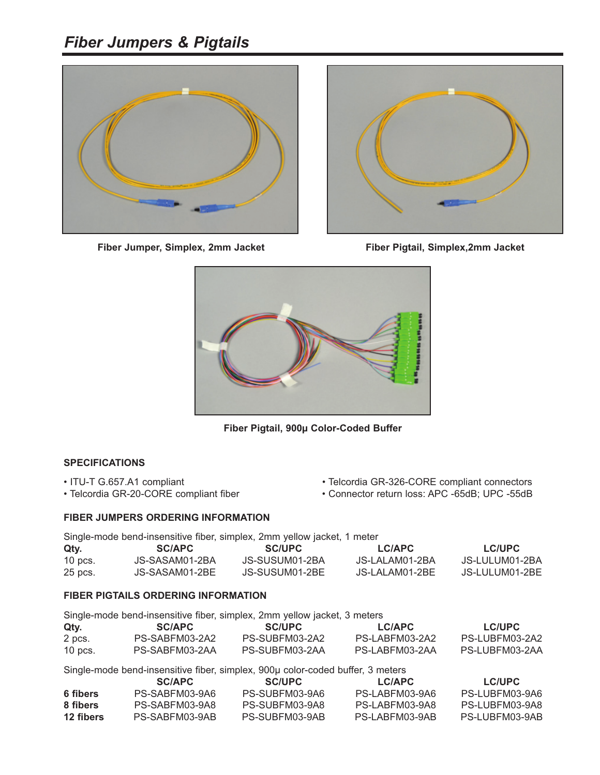# *Fiber Jumpers & Pigtails*





**Fiber Jumper, Simplex, 2mm Jacket Fiber Pigtail, Simplex,2mm Jacket**



**Fiber Pigtail, 900µ Color-Coded Buffer**

#### **SPECIFICATIONS**

#### **FIBER JUMPERS ORDERING INFORMATION**

Single-mode bend-insensitive fiber, simplex, 2mm yellow jacket, 1 meter<br>Qtv. **SC/APC** SC/UPC LC/APC **Qty. SC/APC SC/UPC LC/APC LC/UPC** 10 pcs. JS-SASAM01-2BA JS-SUSUM01-2BA JS-LALAM01-2BA JS-LULUM01-2BA 25 pcs. JS-SASAM01-2BE

#### **FIBER PIGTAILS ORDERING INFORMATION**

| Single-mode bend-insensitive fiber, simplex, 2mm yellow jacket, 3 meters |                |                |                |                |
|--------------------------------------------------------------------------|----------------|----------------|----------------|----------------|
| Qty.                                                                     | <b>SC/APC</b>  | <b>SC/UPC</b>  | LC/APC         | <b>LC/UPC</b>  |
| 2 pcs.                                                                   | PS-SABFM03-2A2 | PS-SUBFM03-2A2 | PS-LABFM03-2A2 | PS-LUBFM03-2A2 |
| 10 $pcs$ .                                                               | PS-SABFM03-2AA | PS-SUBFM03-2AA | PS-LABFM03-2AA | PS-LUBFM03-2AA |

Single-mode bend-insensitive fiber, simplex, 900µ color-coded buffer, 3 meters

|           | SC/APC         | <b>SC/UPC</b>  | LC/APC         | LC/UPC         |
|-----------|----------------|----------------|----------------|----------------|
| 6 fibers  | PS-SABEM03-9A6 | PS-SUBEM03-9A6 | PS-LABEM03-9A6 | PS-LUBEM03-9A6 |
| 8 fibers  | PS-SAREM03-9A8 | PS-SUBEM03-9A8 | PS-LABEM03-9A8 | PS-LUBEM03-9A8 |
| 12 fibers | PS-SARFM03-9AR | PS-SUBEM03-9AB | PS-LABEM03-9AB | PS-LUBEM03-9AB |

- ITU-T G.657.A1 compliant  **Telcordia GR-326-CORE compliant connectors**
- Telcordia GR-20-CORE compliant fiber Connector return loss: APC -65dB; UPC -55dB